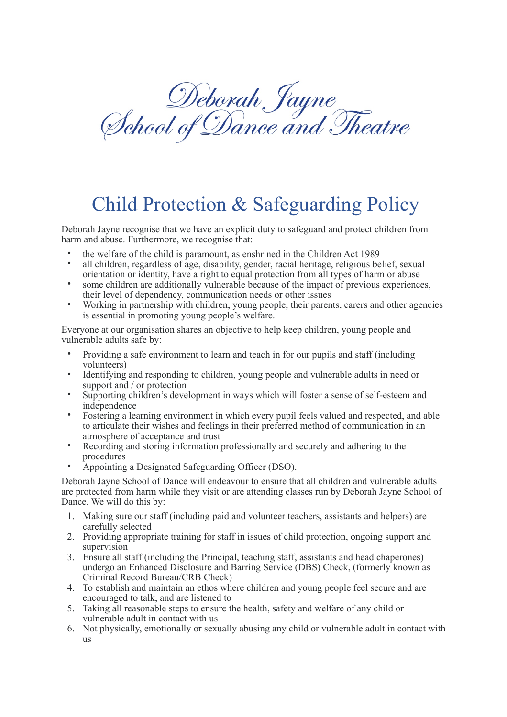Deborah Jayne<br>School of Dance and Theatre

## Child Protection & Safeguarding Policy

Deborah Jayne recognise that we have an explicit duty to safeguard and protect children from harm and abuse. Furthermore, we recognise that:

- the welfare of the child is paramount, as enshrined in the Children Act 1989
- all children, regardless of age, disability, gender, racial heritage, religious belief, sexual orientation or identity, have a right to equal protection from all types of harm or abuse
- some children are additionally vulnerable because of the impact of previous experiences, their level of dependency, communication needs or other issues
- Working in partnership with children, young people, their parents, carers and other agencies is essential in promoting young people's welfare.

Everyone at our organisation shares an objective to help keep children, young people and vulnerable adults safe by:

- Providing a safe environment to learn and teach in for our pupils and staff (including volunteers)
- Identifying and responding to children, young people and vulnerable adults in need or support and / or protection
- Supporting children's development in ways which will foster a sense of self-esteem and independence
- Fostering a learning environment in which every pupil feels valued and respected, and able to articulate their wishes and feelings in their preferred method of communication in an atmosphere of acceptance and trust
- Recording and storing information professionally and securely and adhering to the procedures
- Appointing a Designated Safeguarding Officer (DSO).

Deborah Jayne School of Dance will endeavour to ensure that all children and vulnerable adults are protected from harm while they visit or are attending classes run by Deborah Jayne School of Dance. We will do this by:

- 1. Making sure our staff (including paid and volunteer teachers, assistants and helpers) are carefully selected
- 2. Providing appropriate training for staff in issues of child protection, ongoing support and supervision
- 3. Ensure all staff (including the Principal, teaching staff, assistants and head chaperones) undergo an Enhanced Disclosure and Barring Service (DBS) Check, (formerly known as Criminal Record Bureau/CRB Check)
- 4. To establish and maintain an ethos where children and young people feel secure and are encouraged to talk, and are listened to
- 5. Taking all reasonable steps to ensure the health, safety and welfare of any child or vulnerable adult in contact with us
- 6. Not physically, emotionally or sexually abusing any child or vulnerable adult in contact with us